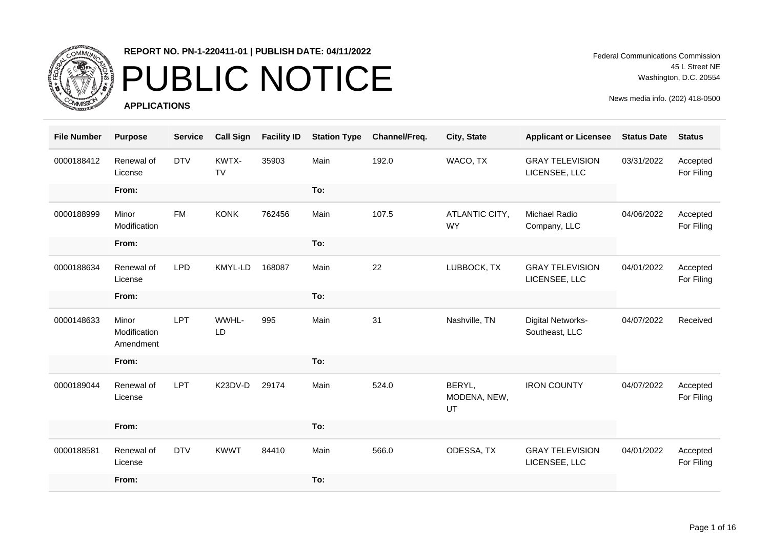

## PUBLIC NOTICE

**APPLICATIONS**

Federal Communications Commission 45 L Street NE Washington, D.C. 20554

| <b>File Number</b> | <b>Purpose</b>                     | <b>Service</b> | <b>Call Sign</b>   | <b>Facility ID</b> | <b>Station Type</b> | Channel/Freq. | City, State                  | <b>Applicant or Licensee</b>            | <b>Status Date</b> | <b>Status</b>          |
|--------------------|------------------------------------|----------------|--------------------|--------------------|---------------------|---------------|------------------------------|-----------------------------------------|--------------------|------------------------|
| 0000188412         | Renewal of<br>License              | <b>DTV</b>     | KWTX-<br><b>TV</b> | 35903              | Main                | 192.0         | WACO, TX                     | <b>GRAY TELEVISION</b><br>LICENSEE, LLC | 03/31/2022         | Accepted<br>For Filing |
|                    | From:                              |                |                    |                    | To:                 |               |                              |                                         |                    |                        |
| 0000188999         | Minor<br>Modification              | <b>FM</b>      | <b>KONK</b>        | 762456             | Main                | 107.5         | ATLANTIC CITY,<br><b>WY</b>  | Michael Radio<br>Company, LLC           | 04/06/2022         | Accepted<br>For Filing |
|                    | From:                              |                |                    |                    | To:                 |               |                              |                                         |                    |                        |
| 0000188634         | Renewal of<br>License              | <b>LPD</b>     | KMYL-LD            | 168087             | Main                | 22            | LUBBOCK, TX                  | <b>GRAY TELEVISION</b><br>LICENSEE, LLC | 04/01/2022         | Accepted<br>For Filing |
|                    | From:                              |                |                    |                    | To:                 |               |                              |                                         |                    |                        |
| 0000148633         | Minor<br>Modification<br>Amendment | <b>LPT</b>     | WWHL-<br>LD        | 995                | Main                | 31            | Nashville, TN                | Digital Networks-<br>Southeast, LLC     | 04/07/2022         | Received               |
|                    | From:                              |                |                    |                    | To:                 |               |                              |                                         |                    |                        |
| 0000189044         | Renewal of<br>License              | <b>LPT</b>     | K23DV-D            | 29174              | Main                | 524.0         | BERYL,<br>MODENA, NEW,<br>UT | <b>IRON COUNTY</b>                      | 04/07/2022         | Accepted<br>For Filing |
|                    | From:                              |                |                    |                    | To:                 |               |                              |                                         |                    |                        |
| 0000188581         | Renewal of<br>License              | <b>DTV</b>     | <b>KWWT</b>        | 84410              | Main                | 566.0         | ODESSA, TX                   | <b>GRAY TELEVISION</b><br>LICENSEE, LLC | 04/01/2022         | Accepted<br>For Filing |
|                    | From:                              |                |                    |                    | To:                 |               |                              |                                         |                    |                        |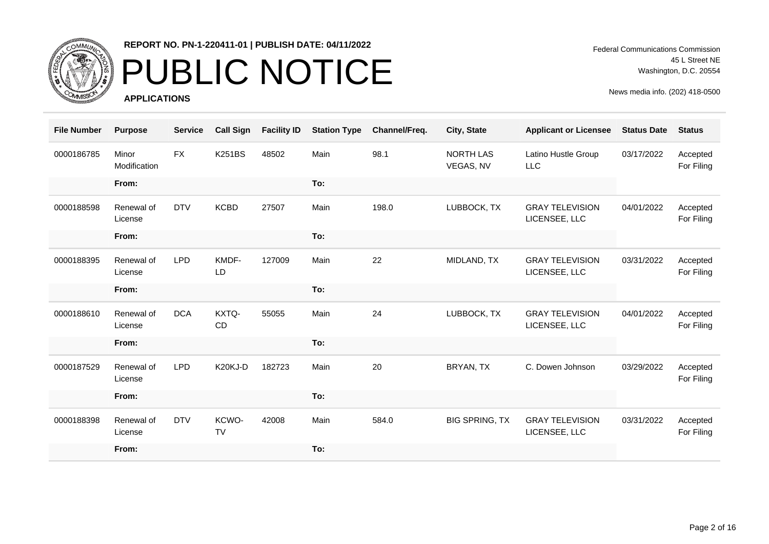

# PUBLIC NOTICE

**APPLICATIONS**

Federal Communications Commission 45 L Street NE Washington, D.C. 20554

| <b>File Number</b> | <b>Purpose</b>        | <b>Service</b> | <b>Call Sign</b>   | <b>Facility ID</b> | <b>Station Type</b> | Channel/Freq. | City, State                   | <b>Applicant or Licensee</b>            | <b>Status Date</b> | <b>Status</b>          |
|--------------------|-----------------------|----------------|--------------------|--------------------|---------------------|---------------|-------------------------------|-----------------------------------------|--------------------|------------------------|
| 0000186785         | Minor<br>Modification | <b>FX</b>      | <b>K251BS</b>      | 48502              | Main                | 98.1          | <b>NORTH LAS</b><br>VEGAS, NV | Latino Hustle Group<br><b>LLC</b>       | 03/17/2022         | Accepted<br>For Filing |
|                    | From:                 |                |                    |                    | To:                 |               |                               |                                         |                    |                        |
| 0000188598         | Renewal of<br>License | <b>DTV</b>     | <b>KCBD</b>        | 27507              | Main                | 198.0         | LUBBOCK, TX                   | <b>GRAY TELEVISION</b><br>LICENSEE, LLC | 04/01/2022         | Accepted<br>For Filing |
|                    | From:                 |                |                    |                    | To:                 |               |                               |                                         |                    |                        |
| 0000188395         | Renewal of<br>License | <b>LPD</b>     | KMDF-<br>LD        | 127009             | Main                | 22            | MIDLAND, TX                   | <b>GRAY TELEVISION</b><br>LICENSEE, LLC | 03/31/2022         | Accepted<br>For Filing |
|                    | From:                 |                |                    |                    | To:                 |               |                               |                                         |                    |                        |
| 0000188610         | Renewal of<br>License | <b>DCA</b>     | KXTQ-<br><b>CD</b> | 55055              | Main                | 24            | LUBBOCK, TX                   | <b>GRAY TELEVISION</b><br>LICENSEE, LLC | 04/01/2022         | Accepted<br>For Filing |
|                    | From:                 |                |                    |                    | To:                 |               |                               |                                         |                    |                        |
| 0000187529         | Renewal of<br>License | <b>LPD</b>     | K20KJ-D            | 182723             | Main                | 20            | BRYAN, TX                     | C. Dowen Johnson                        | 03/29/2022         | Accepted<br>For Filing |
|                    | From:                 |                |                    |                    | To:                 |               |                               |                                         |                    |                        |
| 0000188398         | Renewal of<br>License | <b>DTV</b>     | KCWO-<br><b>TV</b> | 42008              | Main                | 584.0         | <b>BIG SPRING, TX</b>         | <b>GRAY TELEVISION</b><br>LICENSEE, LLC | 03/31/2022         | Accepted<br>For Filing |
|                    | From:                 |                |                    |                    | To:                 |               |                               |                                         |                    |                        |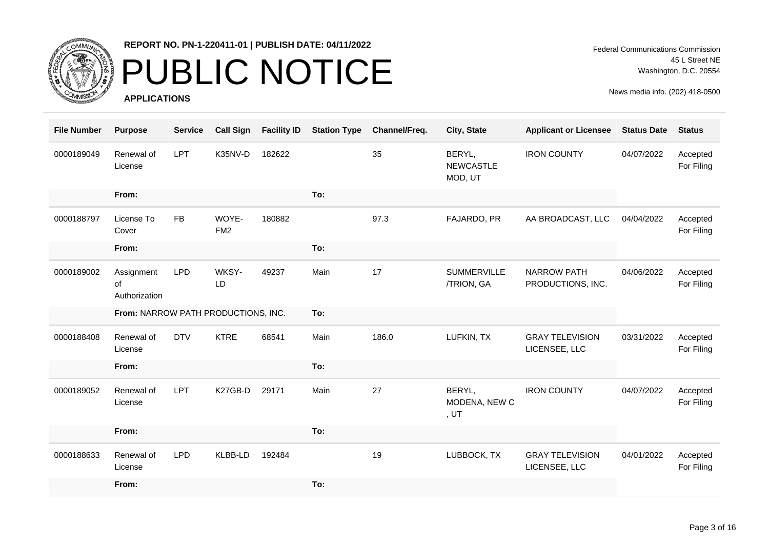

## PUBLIC NOTICE

**APPLICATIONS**

Federal Communications Commission 45 L Street NE Washington, D.C. 20554

| <b>File Number</b> | <b>Purpose</b>                      | <b>Service</b> | <b>Call Sign</b>         | <b>Facility ID</b> | <b>Station Type</b> | Channel/Freq. | City, State                            | <b>Applicant or Licensee</b>            | <b>Status Date</b> | <b>Status</b>          |
|--------------------|-------------------------------------|----------------|--------------------------|--------------------|---------------------|---------------|----------------------------------------|-----------------------------------------|--------------------|------------------------|
| 0000189049         | Renewal of<br>License               | LPT            | K35NV-D                  | 182622             |                     | 35            | BERYL,<br><b>NEWCASTLE</b><br>MOD, UT  | <b>IRON COUNTY</b>                      | 04/07/2022         | Accepted<br>For Filing |
|                    | From:                               |                |                          |                    | To:                 |               |                                        |                                         |                    |                        |
| 0000188797         | License To<br>Cover                 | <b>FB</b>      | WOYE-<br>FM <sub>2</sub> | 180882             |                     | 97.3          | FAJARDO, PR                            | AA BROADCAST, LLC                       | 04/04/2022         | Accepted<br>For Filing |
|                    | From:                               |                |                          |                    | To:                 |               |                                        |                                         |                    |                        |
| 0000189002         | Assignment<br>of<br>Authorization   | <b>LPD</b>     | WKSY-<br>LD              | 49237              | Main                | 17            | <b>SUMMERVILLE</b><br>/TRION, GA       | <b>NARROW PATH</b><br>PRODUCTIONS, INC. | 04/06/2022         | Accepted<br>For Filing |
|                    | From: NARROW PATH PRODUCTIONS, INC. |                |                          |                    | To:                 |               |                                        |                                         |                    |                        |
| 0000188408         | Renewal of<br>License               | <b>DTV</b>     | <b>KTRE</b>              | 68541              | Main                | 186.0         | LUFKIN, TX                             | <b>GRAY TELEVISION</b><br>LICENSEE, LLC | 03/31/2022         | Accepted<br>For Filing |
|                    | From:                               |                |                          |                    | To:                 |               |                                        |                                         |                    |                        |
| 0000189052         | Renewal of<br>License               | LPT            | K27GB-D                  | 29171              | Main                | 27            | BERYL,<br>MODENA, NEW C<br>, <i>UT</i> | <b>IRON COUNTY</b>                      | 04/07/2022         | Accepted<br>For Filing |
|                    | From:                               |                |                          |                    | To:                 |               |                                        |                                         |                    |                        |
| 0000188633         | Renewal of<br>License               | <b>LPD</b>     | KLBB-LD                  | 192484             |                     | 19            | LUBBOCK, TX                            | <b>GRAY TELEVISION</b><br>LICENSEE, LLC | 04/01/2022         | Accepted<br>For Filing |
|                    | From:                               |                |                          |                    | To:                 |               |                                        |                                         |                    |                        |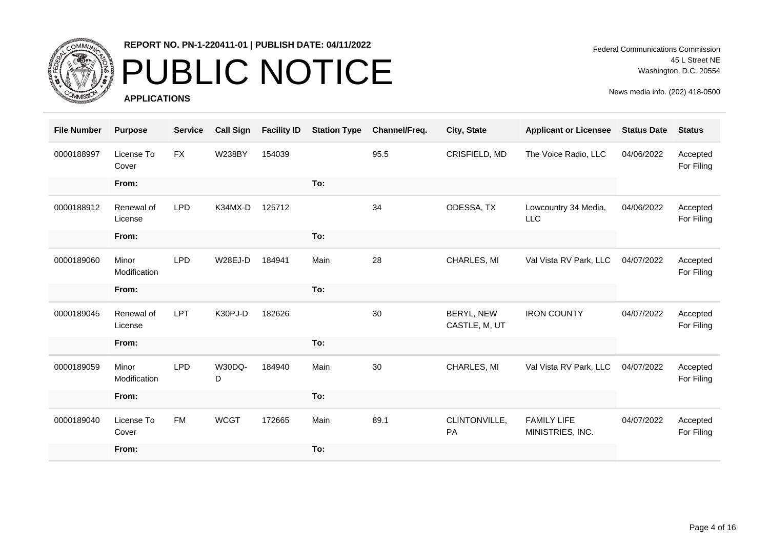

## PUBLIC NOTICE

**APPLICATIONS**

Federal Communications Commission 45 L Street NE Washington, D.C. 20554

| <b>File Number</b> | <b>Purpose</b>        | <b>Service</b> | <b>Call Sign</b> | <b>Facility ID</b> | <b>Station Type</b> | Channel/Freq. | City, State                 | <b>Applicant or Licensee</b>           | <b>Status Date</b> | <b>Status</b>          |
|--------------------|-----------------------|----------------|------------------|--------------------|---------------------|---------------|-----------------------------|----------------------------------------|--------------------|------------------------|
| 0000188997         | License To<br>Cover   | <b>FX</b>      | <b>W238BY</b>    | 154039             |                     | 95.5          | CRISFIELD, MD               | The Voice Radio, LLC                   | 04/06/2022         | Accepted<br>For Filing |
|                    | From:                 |                |                  |                    | To:                 |               |                             |                                        |                    |                        |
| 0000188912         | Renewal of<br>License | <b>LPD</b>     | K34MX-D          | 125712             |                     | 34            | ODESSA, TX                  | Lowcountry 34 Media,<br>LLC            | 04/06/2022         | Accepted<br>For Filing |
|                    | From:                 |                |                  |                    | To:                 |               |                             |                                        |                    |                        |
| 0000189060         | Minor<br>Modification | <b>LPD</b>     | W28EJ-D          | 184941             | Main                | 28            | CHARLES, MI                 | Val Vista RV Park, LLC                 | 04/07/2022         | Accepted<br>For Filing |
|                    | From:                 |                |                  |                    | To:                 |               |                             |                                        |                    |                        |
| 0000189045         | Renewal of<br>License | LPT            | K30PJ-D          | 182626             |                     | 30            | BERYL, NEW<br>CASTLE, M, UT | <b>IRON COUNTY</b>                     | 04/07/2022         | Accepted<br>For Filing |
|                    | From:                 |                |                  |                    | To:                 |               |                             |                                        |                    |                        |
| 0000189059         | Minor<br>Modification | <b>LPD</b>     | W30DQ-<br>D      | 184940             | Main                | 30            | CHARLES, MI                 | Val Vista RV Park, LLC                 | 04/07/2022         | Accepted<br>For Filing |
|                    | From:                 |                |                  |                    | To:                 |               |                             |                                        |                    |                        |
| 0000189040         | License To<br>Cover   | <b>FM</b>      | <b>WCGT</b>      | 172665             | Main                | 89.1          | CLINTONVILLE,<br>PA         | <b>FAMILY LIFE</b><br>MINISTRIES, INC. | 04/07/2022         | Accepted<br>For Filing |
|                    | From:                 |                |                  |                    | To:                 |               |                             |                                        |                    |                        |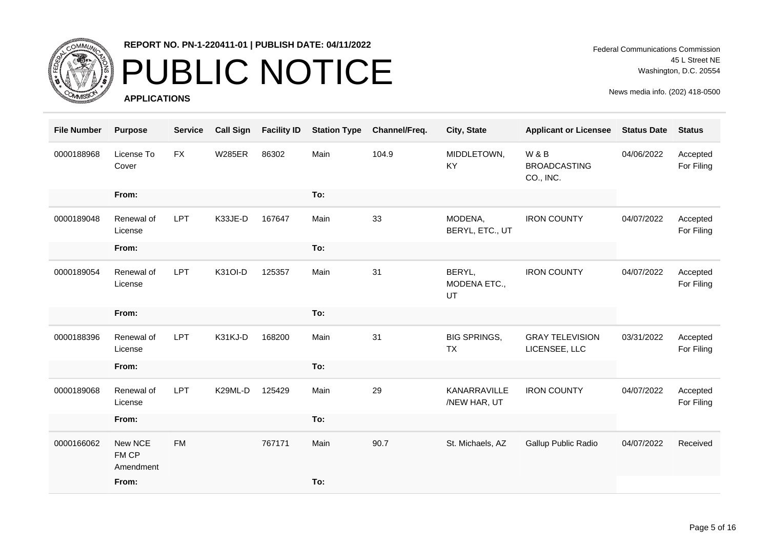

## PUBLIC NOTICE

**APPLICATIONS**

Federal Communications Commission 45 L Street NE Washington, D.C. 20554

| <b>File Number</b> | <b>Purpose</b>                | <b>Service</b> | <b>Call Sign</b> | <b>Facility ID</b> | <b>Station Type</b> | Channel/Freq. | City, State                      | <b>Applicant or Licensee</b>            | <b>Status Date</b> | <b>Status</b>          |
|--------------------|-------------------------------|----------------|------------------|--------------------|---------------------|---------------|----------------------------------|-----------------------------------------|--------------------|------------------------|
| 0000188968         | License To<br>Cover           | <b>FX</b>      | <b>W285ER</b>    | 86302              | Main                | 104.9         | MIDDLETOWN,<br><b>KY</b>         | W&B<br><b>BROADCASTING</b><br>CO., INC. | 04/06/2022         | Accepted<br>For Filing |
|                    | From:                         |                |                  |                    | To:                 |               |                                  |                                         |                    |                        |
| 0000189048         | Renewal of<br>License         | LPT            | K33JE-D          | 167647             | Main                | 33            | MODENA,<br>BERYL, ETC., UT       | <b>IRON COUNTY</b>                      | 04/07/2022         | Accepted<br>For Filing |
|                    | From:                         |                |                  |                    | To:                 |               |                                  |                                         |                    |                        |
| 0000189054         | Renewal of<br>License         | LPT            | K31OI-D          | 125357             | Main                | 31            | BERYL,<br>MODENA ETC.,<br>UT     | <b>IRON COUNTY</b>                      | 04/07/2022         | Accepted<br>For Filing |
|                    | From:                         |                |                  |                    | To:                 |               |                                  |                                         |                    |                        |
| 0000188396         | Renewal of<br>License         | LPT            | K31KJ-D          | 168200             | Main                | 31            | <b>BIG SPRINGS,</b><br><b>TX</b> | <b>GRAY TELEVISION</b><br>LICENSEE, LLC | 03/31/2022         | Accepted<br>For Filing |
|                    | From:                         |                |                  |                    | To:                 |               |                                  |                                         |                    |                        |
| 0000189068         | Renewal of<br>License         | LPT            | K29ML-D          | 125429             | Main                | 29            | KANARRAVILLE<br>/NEW HAR, UT     | <b>IRON COUNTY</b>                      | 04/07/2022         | Accepted<br>For Filing |
|                    | From:                         |                |                  |                    | To:                 |               |                                  |                                         |                    |                        |
| 0000166062         | New NCE<br>FM CP<br>Amendment | <b>FM</b>      |                  | 767171             | Main                | 90.7          | St. Michaels, AZ                 | Gallup Public Radio                     | 04/07/2022         | Received               |
|                    | From:                         |                |                  |                    | To:                 |               |                                  |                                         |                    |                        |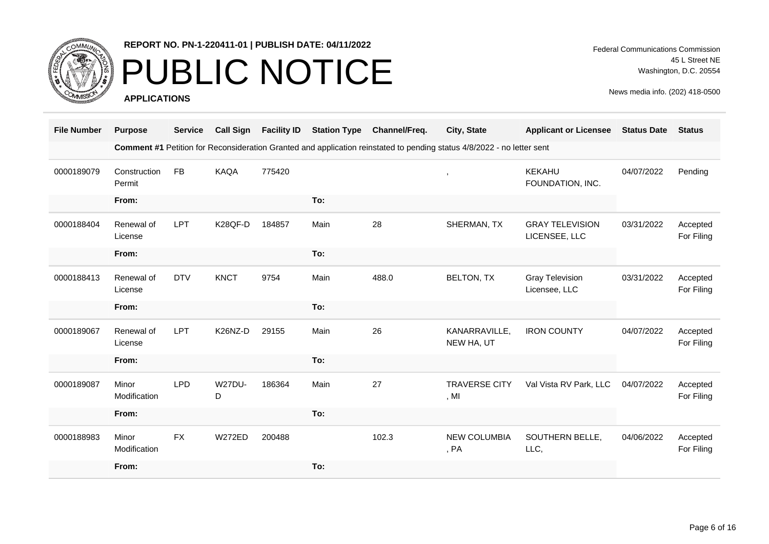

### PUBLIC NOTICE

**APPLICATIONS**

Federal Communications Commission 45 L Street NE Washington, D.C. 20554

| <b>File Number</b> | <b>Purpose</b>         | <b>Service</b> | <b>Call Sign</b>   | <b>Facility ID</b> | <b>Station Type</b> | Channel/Freq. | City, State                                                                                                            | <b>Applicant or Licensee</b>            | <b>Status Date</b> | <b>Status</b>          |
|--------------------|------------------------|----------------|--------------------|--------------------|---------------------|---------------|------------------------------------------------------------------------------------------------------------------------|-----------------------------------------|--------------------|------------------------|
|                    |                        |                |                    |                    |                     |               | Comment #1 Petition for Reconsideration Granted and application reinstated to pending status 4/8/2022 - no letter sent |                                         |                    |                        |
| 0000189079         | Construction<br>Permit | <b>FB</b>      | KAQA               | 775420             |                     |               | $\cdot$                                                                                                                | <b>KEKAHU</b><br>FOUNDATION, INC.       | 04/07/2022         | Pending                |
|                    | From:                  |                |                    |                    | To:                 |               |                                                                                                                        |                                         |                    |                        |
| 0000188404         | Renewal of<br>License  | <b>LPT</b>     | K28QF-D            | 184857             | Main                | 28            | SHERMAN, TX                                                                                                            | <b>GRAY TELEVISION</b><br>LICENSEE, LLC | 03/31/2022         | Accepted<br>For Filing |
|                    | From:                  |                |                    |                    | To:                 |               |                                                                                                                        |                                         |                    |                        |
| 0000188413         | Renewal of<br>License  | <b>DTV</b>     | <b>KNCT</b>        | 9754               | Main                | 488.0         | <b>BELTON, TX</b>                                                                                                      | <b>Gray Television</b><br>Licensee, LLC | 03/31/2022         | Accepted<br>For Filing |
|                    | From:                  |                |                    |                    | To:                 |               |                                                                                                                        |                                         |                    |                        |
| 0000189067         | Renewal of<br>License  | <b>LPT</b>     | K26NZ-D            | 29155              | Main                | 26            | KANARRAVILLE,<br>NEW HA, UT                                                                                            | <b>IRON COUNTY</b>                      | 04/07/2022         | Accepted<br>For Filing |
|                    | From:                  |                |                    |                    | To:                 |               |                                                                                                                        |                                         |                    |                        |
| 0000189087         | Minor<br>Modification  | <b>LPD</b>     | <b>W27DU-</b><br>D | 186364             | Main                | 27            | <b>TRAVERSE CITY</b><br>, M <sub>l</sub>                                                                               | Val Vista RV Park, LLC                  | 04/07/2022         | Accepted<br>For Filing |
|                    | From:                  |                |                    |                    | To:                 |               |                                                                                                                        |                                         |                    |                        |
| 0000188983         | Minor<br>Modification  | <b>FX</b>      | <b>W272ED</b>      | 200488             |                     | 102.3         | <b>NEW COLUMBIA</b><br>, PA                                                                                            | SOUTHERN BELLE,<br>LLC,                 | 04/06/2022         | Accepted<br>For Filing |
|                    | From:                  |                |                    |                    | To:                 |               |                                                                                                                        |                                         |                    |                        |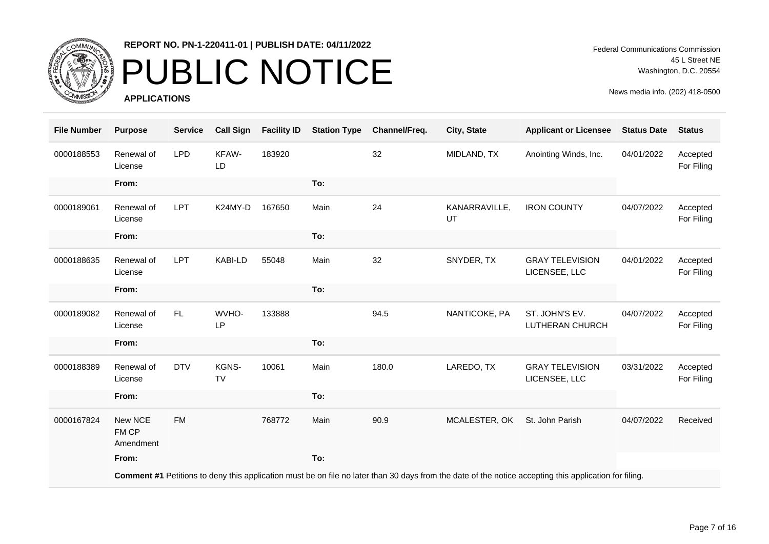

## PUBLIC NOTICE

**APPLICATIONS**

Federal Communications Commission 45 L Street NE Washington, D.C. 20554

| <b>File Number</b> | <b>Purpose</b>                | <b>Service</b> | <b>Call Sign</b>   | <b>Facility ID</b> | <b>Station Type</b> | Channel/Freq. | City, State         | <b>Applicant or Licensee</b>                                                                                                                           | <b>Status Date</b> | <b>Status</b>          |
|--------------------|-------------------------------|----------------|--------------------|--------------------|---------------------|---------------|---------------------|--------------------------------------------------------------------------------------------------------------------------------------------------------|--------------------|------------------------|
| 0000188553         | Renewal of<br>License         | <b>LPD</b>     | KFAW-<br>LD        | 183920             |                     | 32            | MIDLAND, TX         | Anointing Winds, Inc.                                                                                                                                  | 04/01/2022         | Accepted<br>For Filing |
|                    | From:                         |                |                    |                    | To:                 |               |                     |                                                                                                                                                        |                    |                        |
| 0000189061         | Renewal of<br>License         | <b>LPT</b>     | K24MY-D            | 167650             | Main                | 24            | KANARRAVILLE,<br>UT | <b>IRON COUNTY</b>                                                                                                                                     | 04/07/2022         | Accepted<br>For Filing |
|                    | From:                         |                |                    |                    | To:                 |               |                     |                                                                                                                                                        |                    |                        |
| 0000188635         | Renewal of<br>License         | LPT            | KABI-LD            | 55048              | Main                | 32            | SNYDER, TX          | <b>GRAY TELEVISION</b><br>LICENSEE, LLC                                                                                                                | 04/01/2022         | Accepted<br>For Filing |
|                    | From:                         |                |                    |                    | To:                 |               |                     |                                                                                                                                                        |                    |                        |
| 0000189082         | Renewal of<br>License         | FL.            | WVHO-<br>LP        | 133888             |                     | 94.5          | NANTICOKE, PA       | ST. JOHN'S EV.<br>LUTHERAN CHURCH                                                                                                                      | 04/07/2022         | Accepted<br>For Filing |
|                    | From:                         |                |                    |                    | To:                 |               |                     |                                                                                                                                                        |                    |                        |
| 0000188389         | Renewal of<br>License         | <b>DTV</b>     | KGNS-<br><b>TV</b> | 10061              | Main                | 180.0         | LAREDO, TX          | <b>GRAY TELEVISION</b><br>LICENSEE, LLC                                                                                                                | 03/31/2022         | Accepted<br>For Filing |
|                    | From:                         |                |                    |                    | To:                 |               |                     |                                                                                                                                                        |                    |                        |
| 0000167824         | New NCE<br>FM CP<br>Amendment | <b>FM</b>      |                    | 768772             | Main                | 90.9          | MCALESTER, OK       | St. John Parish                                                                                                                                        | 04/07/2022         | Received               |
|                    | From:                         |                |                    |                    | To:                 |               |                     |                                                                                                                                                        |                    |                        |
|                    |                               |                |                    |                    |                     |               |                     | Comment #1 Petitions to deny this application must be on file no later than 30 days from the date of the notice accepting this application for filing. |                    |                        |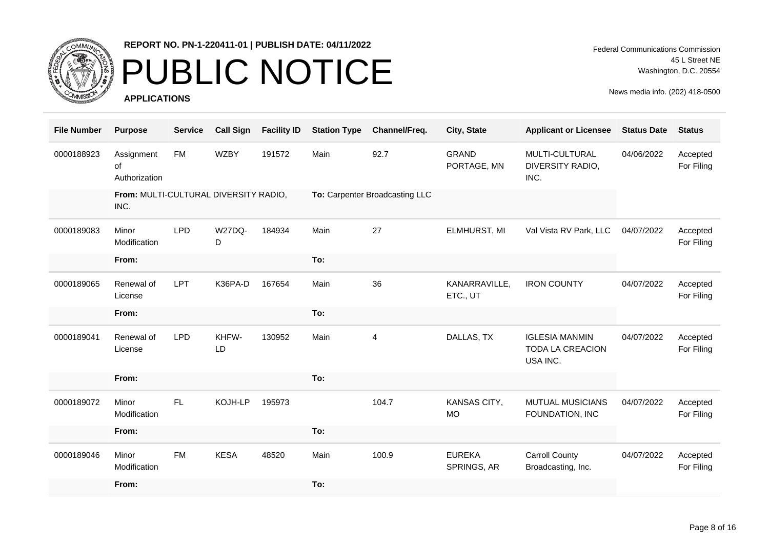

## PUBLIC NOTICE

**APPLICATIONS**

Federal Communications Commission 45 L Street NE Washington, D.C. 20554

| <b>File Number</b> | <b>Purpose</b>                                | <b>Service</b> | <b>Call Sign</b> | <b>Facility ID</b> | <b>Station Type</b> | Channel/Freq.                  | City, State                  | <b>Applicant or Licensee</b>                          | <b>Status Date</b> | <b>Status</b>          |
|--------------------|-----------------------------------------------|----------------|------------------|--------------------|---------------------|--------------------------------|------------------------------|-------------------------------------------------------|--------------------|------------------------|
| 0000188923         | Assignment<br>of<br>Authorization             | <b>FM</b>      | <b>WZBY</b>      | 191572             | Main                | 92.7                           | <b>GRAND</b><br>PORTAGE, MN  | MULTI-CULTURAL<br>DIVERSITY RADIO,<br>INC.            | 04/06/2022         | Accepted<br>For Filing |
|                    | From: MULTI-CULTURAL DIVERSITY RADIO,<br>INC. |                |                  |                    |                     | To: Carpenter Broadcasting LLC |                              |                                                       |                    |                        |
| 0000189083         | Minor<br>Modification                         | <b>LPD</b>     | W27DQ-<br>D      | 184934             | Main                | 27                             | ELMHURST, MI                 | Val Vista RV Park, LLC                                | 04/07/2022         | Accepted<br>For Filing |
|                    | From:                                         |                |                  |                    | To:                 |                                |                              |                                                       |                    |                        |
| 0000189065         | Renewal of<br>License                         | <b>LPT</b>     | K36PA-D          | 167654             | Main                | 36                             | KANARRAVILLE,<br>ETC., UT    | <b>IRON COUNTY</b>                                    | 04/07/2022         | Accepted<br>For Filing |
|                    | From:                                         |                |                  |                    | To:                 |                                |                              |                                                       |                    |                        |
| 0000189041         | Renewal of<br>License                         | <b>LPD</b>     | KHFW-<br>LD      | 130952             | Main                | 4                              | DALLAS, TX                   | <b>IGLESIA MANMIN</b><br>TODA LA CREACION<br>USA INC. | 04/07/2022         | Accepted<br>For Filing |
|                    | From:                                         |                |                  |                    | To:                 |                                |                              |                                                       |                    |                        |
| 0000189072         | Minor<br>Modification                         | FL             | KOJH-LP          | 195973             |                     | 104.7                          | KANSAS CITY,<br><b>MO</b>    | <b>MUTUAL MUSICIANS</b><br>FOUNDATION, INC            | 04/07/2022         | Accepted<br>For Filing |
|                    | From:                                         |                |                  |                    | To:                 |                                |                              |                                                       |                    |                        |
| 0000189046         | Minor<br>Modification                         | <b>FM</b>      | <b>KESA</b>      | 48520              | Main                | 100.9                          | <b>EUREKA</b><br>SPRINGS, AR | <b>Carroll County</b><br>Broadcasting, Inc.           | 04/07/2022         | Accepted<br>For Filing |
|                    | From:                                         |                |                  |                    | To:                 |                                |                              |                                                       |                    |                        |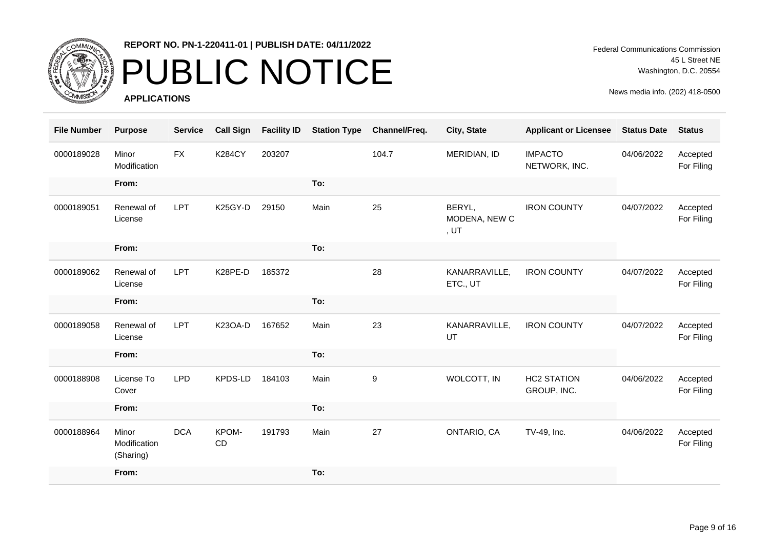

# PUBLIC NOTICE

**APPLICATIONS**

Federal Communications Commission 45 L Street NE Washington, D.C. 20554

| <b>File Number</b> | <b>Purpose</b>                     | <b>Service</b> | <b>Call Sign</b>   | <b>Facility ID</b> | <b>Station Type</b> | Channel/Freq. | City, State                     | <b>Applicant or Licensee</b>      | <b>Status Date</b> | <b>Status</b>          |
|--------------------|------------------------------------|----------------|--------------------|--------------------|---------------------|---------------|---------------------------------|-----------------------------------|--------------------|------------------------|
| 0000189028         | Minor<br>Modification              | <b>FX</b>      | <b>K284CY</b>      | 203207             |                     | 104.7         | MERIDIAN, ID                    | <b>IMPACTO</b><br>NETWORK, INC.   | 04/06/2022         | Accepted<br>For Filing |
|                    | From:                              |                |                    |                    | To:                 |               |                                 |                                   |                    |                        |
| 0000189051         | Renewal of<br>License              | <b>LPT</b>     | K25GY-D            | 29150              | Main                | 25            | BERYL,<br>MODENA, NEW C<br>, UT | <b>IRON COUNTY</b>                | 04/07/2022         | Accepted<br>For Filing |
|                    | From:                              |                |                    |                    | To:                 |               |                                 |                                   |                    |                        |
| 0000189062         | Renewal of<br>License              | <b>LPT</b>     | K28PE-D            | 185372             |                     | 28            | KANARRAVILLE,<br>ETC., UT       | <b>IRON COUNTY</b>                | 04/07/2022         | Accepted<br>For Filing |
|                    | From:                              |                |                    |                    | To:                 |               |                                 |                                   |                    |                        |
| 0000189058         | Renewal of<br>License              | <b>LPT</b>     | K23OA-D            | 167652             | Main                | 23            | KANARRAVILLE,<br>UT             | <b>IRON COUNTY</b>                | 04/07/2022         | Accepted<br>For Filing |
|                    | From:                              |                |                    |                    | To:                 |               |                                 |                                   |                    |                        |
| 0000188908         | License To<br>Cover                | <b>LPD</b>     | KPDS-LD            | 184103             | Main                | 9             | WOLCOTT, IN                     | <b>HC2 STATION</b><br>GROUP, INC. | 04/06/2022         | Accepted<br>For Filing |
|                    | From:                              |                |                    |                    | To:                 |               |                                 |                                   |                    |                        |
| 0000188964         | Minor<br>Modification<br>(Sharing) | <b>DCA</b>     | KPOM-<br><b>CD</b> | 191793             | Main                | 27            | ONTARIO, CA                     | TV-49, Inc.                       | 04/06/2022         | Accepted<br>For Filing |
|                    | From:                              |                |                    |                    | To:                 |               |                                 |                                   |                    |                        |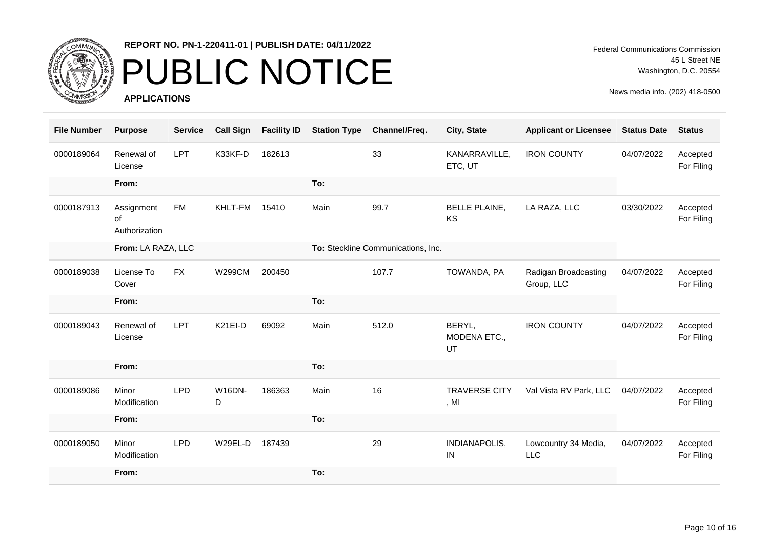

# PUBLIC NOTICE

**APPLICATIONS**

Federal Communications Commission 45 L Street NE Washington, D.C. 20554

| <b>File Number</b> | <b>Purpose</b>                    | <b>Service</b> | <b>Call Sign</b>   | <b>Facility ID</b> | <b>Station Type</b> | Channel/Freq.                      | City, State                    | <b>Applicant or Licensee</b>       | <b>Status Date</b> | <b>Status</b>          |
|--------------------|-----------------------------------|----------------|--------------------|--------------------|---------------------|------------------------------------|--------------------------------|------------------------------------|--------------------|------------------------|
| 0000189064         | Renewal of<br>License             | LPT            | K33KF-D            | 182613             |                     | 33                                 | KANARRAVILLE,<br>ETC, UT       | <b>IRON COUNTY</b>                 | 04/07/2022         | Accepted<br>For Filing |
|                    | From:                             |                |                    |                    | To:                 |                                    |                                |                                    |                    |                        |
| 0000187913         | Assignment<br>of<br>Authorization | <b>FM</b>      | KHLT-FM            | 15410              | Main                | 99.7                               | <b>BELLE PLAINE,</b><br>KS     | LA RAZA, LLC                       | 03/30/2022         | Accepted<br>For Filing |
|                    | From: LA RAZA, LLC                |                |                    |                    |                     | To: Steckline Communications, Inc. |                                |                                    |                    |                        |
| 0000189038         | License To<br>Cover               | <b>FX</b>      | <b>W299CM</b>      | 200450             |                     | 107.7                              | TOWANDA, PA                    | Radigan Broadcasting<br>Group, LLC | 04/07/2022         | Accepted<br>For Filing |
|                    | From:                             |                |                    |                    | To:                 |                                    |                                |                                    |                    |                        |
| 0000189043         | Renewal of<br>License             | <b>LPT</b>     | K21EI-D            | 69092              | Main                | 512.0                              | BERYL,<br>MODENA ETC.,<br>UT   | <b>IRON COUNTY</b>                 | 04/07/2022         | Accepted<br>For Filing |
|                    | From:                             |                |                    |                    | To:                 |                                    |                                |                                    |                    |                        |
| 0000189086         | Minor<br>Modification             | <b>LPD</b>     | <b>W16DN-</b><br>D | 186363             | Main                | 16                                 | <b>TRAVERSE CITY</b><br>, $MI$ | Val Vista RV Park, LLC             | 04/07/2022         | Accepted<br>For Filing |
|                    | From:                             |                |                    |                    | To:                 |                                    |                                |                                    |                    |                        |
| 0000189050         | Minor<br>Modification             | <b>LPD</b>     | W29EL-D            | 187439             |                     | 29                                 | INDIANAPOLIS,<br>IN            | Lowcountry 34 Media,<br><b>LLC</b> | 04/07/2022         | Accepted<br>For Filing |
|                    | From:                             |                |                    |                    | To:                 |                                    |                                |                                    |                    |                        |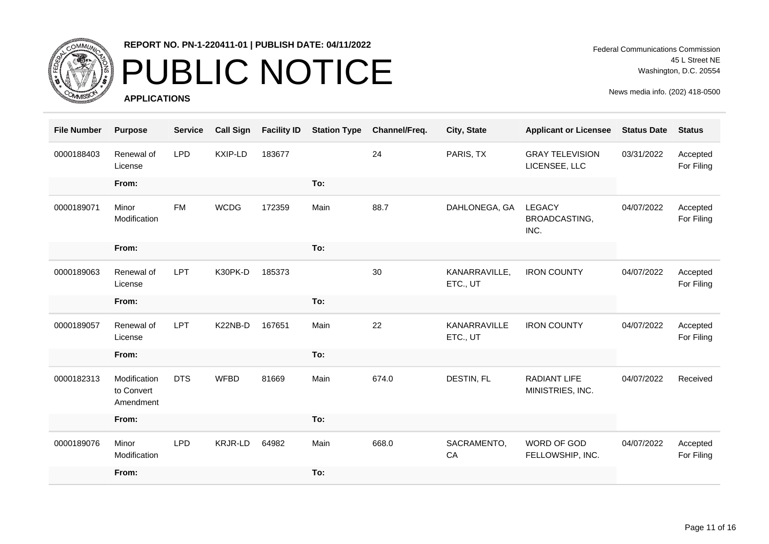

## PUBLIC NOTICE

**APPLICATIONS**

Federal Communications Commission 45 L Street NE Washington, D.C. 20554

| <b>File Number</b> | <b>Purpose</b>                          | <b>Service</b> | <b>Call Sign</b> | <b>Facility ID</b> | <b>Station Type</b> | Channel/Freq. | City, State               | <b>Applicant or Licensee</b>            | <b>Status Date</b> | <b>Status</b>          |
|--------------------|-----------------------------------------|----------------|------------------|--------------------|---------------------|---------------|---------------------------|-----------------------------------------|--------------------|------------------------|
| 0000188403         | Renewal of<br>License                   | <b>LPD</b>     | KXIP-LD          | 183677             |                     | 24            | PARIS, TX                 | <b>GRAY TELEVISION</b><br>LICENSEE, LLC | 03/31/2022         | Accepted<br>For Filing |
|                    | From:                                   |                |                  |                    | To:                 |               |                           |                                         |                    |                        |
| 0000189071         | Minor<br>Modification                   | <b>FM</b>      | <b>WCDG</b>      | 172359             | Main                | 88.7          | DAHLONEGA, GA             | <b>LEGACY</b><br>BROADCASTING,<br>INC.  | 04/07/2022         | Accepted<br>For Filing |
|                    | From:                                   |                |                  |                    | To:                 |               |                           |                                         |                    |                        |
| 0000189063         | Renewal of<br>License                   | LPT            | K30PK-D          | 185373             |                     | 30            | KANARRAVILLE,<br>ETC., UT | <b>IRON COUNTY</b>                      | 04/07/2022         | Accepted<br>For Filing |
|                    | From:                                   |                |                  |                    | To:                 |               |                           |                                         |                    |                        |
| 0000189057         | Renewal of<br>License                   | <b>LPT</b>     | K22NB-D          | 167651             | Main                | 22            | KANARRAVILLE<br>ETC., UT  | <b>IRON COUNTY</b>                      | 04/07/2022         | Accepted<br>For Filing |
|                    | From:                                   |                |                  |                    | To:                 |               |                           |                                         |                    |                        |
| 0000182313         | Modification<br>to Convert<br>Amendment | <b>DTS</b>     | <b>WFBD</b>      | 81669              | Main                | 674.0         | DESTIN, FL                | <b>RADIANT LIFE</b><br>MINISTRIES, INC. | 04/07/2022         | Received               |
|                    | From:                                   |                |                  |                    | To:                 |               |                           |                                         |                    |                        |
| 0000189076         | Minor<br>Modification                   | <b>LPD</b>     | <b>KRJR-LD</b>   | 64982              | Main                | 668.0         | SACRAMENTO,<br>CA         | WORD OF GOD<br>FELLOWSHIP, INC.         | 04/07/2022         | Accepted<br>For Filing |
|                    | From:                                   |                |                  |                    | To:                 |               |                           |                                         |                    |                        |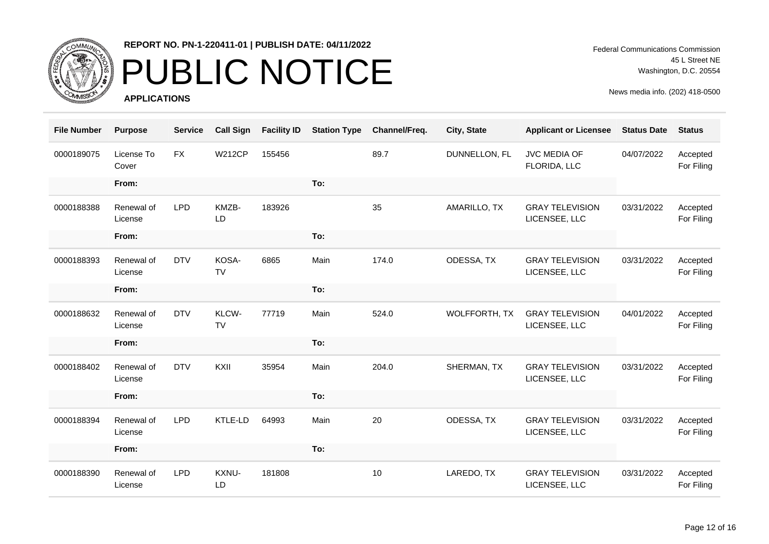

## PUBLIC NOTICE

**APPLICATIONS**

Federal Communications Commission 45 L Street NE Washington, D.C. 20554

| <b>File Number</b> | <b>Purpose</b>        | <b>Service</b> | <b>Call Sign</b>   | <b>Facility ID</b> | <b>Station Type</b> | Channel/Freq. | City, State          | <b>Applicant or Licensee</b>            | <b>Status Date</b> | <b>Status</b>          |
|--------------------|-----------------------|----------------|--------------------|--------------------|---------------------|---------------|----------------------|-----------------------------------------|--------------------|------------------------|
| 0000189075         | License To<br>Cover   | <b>FX</b>      | <b>W212CP</b>      | 155456             |                     | 89.7          | DUNNELLON, FL        | <b>JVC MEDIA OF</b><br>FLORIDA, LLC     | 04/07/2022         | Accepted<br>For Filing |
|                    | From:                 |                |                    |                    | To:                 |               |                      |                                         |                    |                        |
| 0000188388         | Renewal of<br>License | <b>LPD</b>     | KMZB-<br>LD        | 183926             |                     | 35            | AMARILLO, TX         | <b>GRAY TELEVISION</b><br>LICENSEE, LLC | 03/31/2022         | Accepted<br>For Filing |
|                    | From:                 |                |                    |                    | To:                 |               |                      |                                         |                    |                        |
| 0000188393         | Renewal of<br>License | <b>DTV</b>     | KOSA-<br><b>TV</b> | 6865               | Main                | 174.0         | ODESSA, TX           | <b>GRAY TELEVISION</b><br>LICENSEE, LLC | 03/31/2022         | Accepted<br>For Filing |
|                    | From:                 |                |                    |                    | To:                 |               |                      |                                         |                    |                        |
| 0000188632         | Renewal of<br>License | <b>DTV</b>     | KLCW-<br>TV        | 77719              | Main                | 524.0         | <b>WOLFFORTH, TX</b> | <b>GRAY TELEVISION</b><br>LICENSEE, LLC | 04/01/2022         | Accepted<br>For Filing |
|                    | From:                 |                |                    |                    | To:                 |               |                      |                                         |                    |                        |
| 0000188402         | Renewal of<br>License | <b>DTV</b>     | KXII               | 35954              | Main                | 204.0         | SHERMAN, TX          | <b>GRAY TELEVISION</b><br>LICENSEE, LLC | 03/31/2022         | Accepted<br>For Filing |
|                    | From:                 |                |                    |                    | To:                 |               |                      |                                         |                    |                        |
| 0000188394         | Renewal of<br>License | <b>LPD</b>     | KTLE-LD            | 64993              | Main                | 20            | ODESSA, TX           | <b>GRAY TELEVISION</b><br>LICENSEE, LLC | 03/31/2022         | Accepted<br>For Filing |
|                    | From:                 |                |                    |                    | To:                 |               |                      |                                         |                    |                        |
| 0000188390         | Renewal of<br>License | <b>LPD</b>     | KXNU-<br>LD        | 181808             |                     | 10            | LAREDO, TX           | <b>GRAY TELEVISION</b><br>LICENSEE, LLC | 03/31/2022         | Accepted<br>For Filing |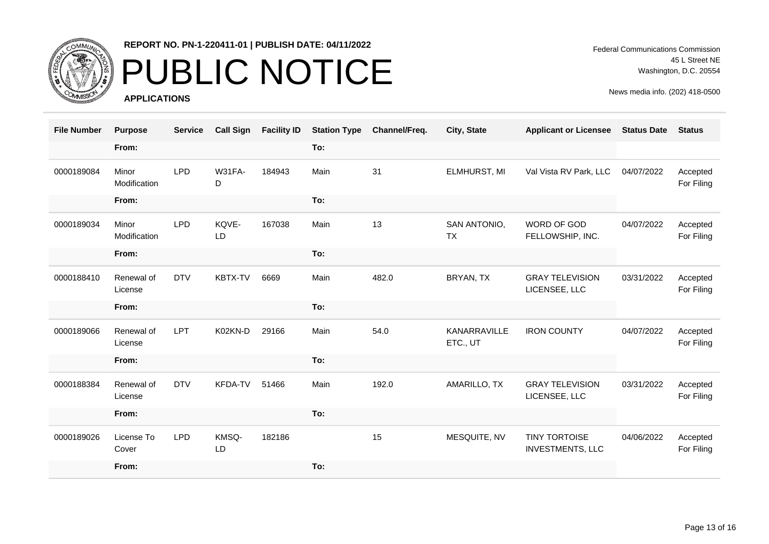

## PUBLIC NOTICE

**APPLICATIONS**

Federal Communications Commission 45 L Street NE Washington, D.C. 20554

| <b>File Number</b> | <b>Purpose</b>        | <b>Service</b> | <b>Call Sign</b> | <b>Facility ID</b> | <b>Station Type</b> | Channel/Freq. | City, State               | <b>Applicant or Licensee</b>                    | <b>Status Date</b> | <b>Status</b>          |
|--------------------|-----------------------|----------------|------------------|--------------------|---------------------|---------------|---------------------------|-------------------------------------------------|--------------------|------------------------|
|                    | From:                 |                |                  |                    | To:                 |               |                           |                                                 |                    |                        |
| 0000189084         | Minor<br>Modification | <b>LPD</b>     | W31FA-<br>D      | 184943             | Main                | 31            | ELMHURST, MI              | Val Vista RV Park, LLC                          | 04/07/2022         | Accepted<br>For Filing |
|                    | From:                 |                |                  |                    | To:                 |               |                           |                                                 |                    |                        |
| 0000189034         | Minor<br>Modification | <b>LPD</b>     | KQVE-<br>LD      | 167038             | Main                | 13            | SAN ANTONIO,<br><b>TX</b> | WORD OF GOD<br>FELLOWSHIP, INC.                 | 04/07/2022         | Accepted<br>For Filing |
|                    | From:                 |                |                  |                    | To:                 |               |                           |                                                 |                    |                        |
| 0000188410         | Renewal of<br>License | <b>DTV</b>     | KBTX-TV          | 6669               | Main                | 482.0         | BRYAN, TX                 | <b>GRAY TELEVISION</b><br>LICENSEE, LLC         | 03/31/2022         | Accepted<br>For Filing |
|                    | From:                 |                |                  |                    | To:                 |               |                           |                                                 |                    |                        |
| 0000189066         | Renewal of<br>License | <b>LPT</b>     | K02KN-D          | 29166              | Main                | 54.0          | KANARRAVILLE<br>ETC., UT  | <b>IRON COUNTY</b>                              | 04/07/2022         | Accepted<br>For Filing |
|                    | From:                 |                |                  |                    | To:                 |               |                           |                                                 |                    |                        |
| 0000188384         | Renewal of<br>License | <b>DTV</b>     | KFDA-TV          | 51466              | Main                | 192.0         | AMARILLO, TX              | <b>GRAY TELEVISION</b><br>LICENSEE, LLC         | 03/31/2022         | Accepted<br>For Filing |
|                    | From:                 |                |                  |                    | To:                 |               |                           |                                                 |                    |                        |
| 0000189026         | License To<br>Cover   | <b>LPD</b>     | KMSQ-<br>LD      | 182186             |                     | 15            | MESQUITE, NV              | <b>TINY TORTOISE</b><br><b>INVESTMENTS, LLC</b> | 04/06/2022         | Accepted<br>For Filing |
|                    | From:                 |                |                  |                    | To:                 |               |                           |                                                 |                    |                        |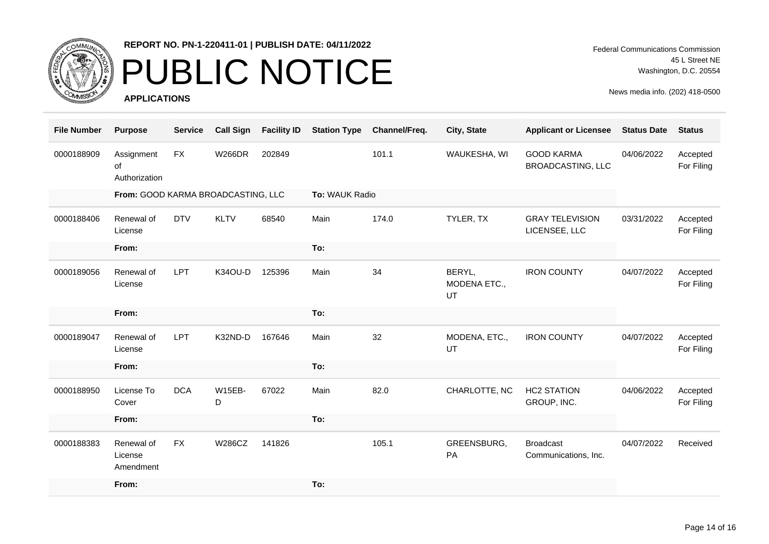

# PUBLIC NOTICE

**APPLICATIONS**

Federal Communications Commission 45 L Street NE Washington, D.C. 20554

| <b>File Number</b> | <b>Purpose</b>                     | <b>Service</b>                     | <b>Call Sign</b>   | <b>Facility ID</b> | <b>Station Type</b> | Channel/Freq.  | City, State                  | <b>Applicant or Licensee</b>                  | <b>Status Date</b> | <b>Status</b>          |
|--------------------|------------------------------------|------------------------------------|--------------------|--------------------|---------------------|----------------|------------------------------|-----------------------------------------------|--------------------|------------------------|
| 0000188909         | Assignment<br>of<br>Authorization  | <b>FX</b>                          | <b>W266DR</b>      | 202849             |                     | 101.1          | WAUKESHA, WI                 | <b>GOOD KARMA</b><br><b>BROADCASTING, LLC</b> | 04/06/2022         | Accepted<br>For Filing |
|                    |                                    | From: GOOD KARMA BROADCASTING, LLC |                    |                    |                     | To: WAUK Radio |                              |                                               |                    |                        |
| 0000188406         | Renewal of<br>License              | <b>DTV</b>                         | <b>KLTV</b>        | 68540              | Main                | 174.0          | TYLER, TX                    | <b>GRAY TELEVISION</b><br>LICENSEE, LLC       | 03/31/2022         | Accepted<br>For Filing |
|                    | From:                              |                                    |                    |                    | To:                 |                |                              |                                               |                    |                        |
| 0000189056         | Renewal of<br>License              | LPT                                | K34OU-D            | 125396             | Main                | 34             | BERYL,<br>MODENA ETC.,<br>UT | <b>IRON COUNTY</b>                            | 04/07/2022         | Accepted<br>For Filing |
|                    | From:                              |                                    |                    |                    | To:                 |                |                              |                                               |                    |                        |
| 0000189047         | Renewal of<br>License              | LPT                                | K32ND-D            | 167646             | Main                | 32             | MODENA, ETC.,<br>UT          | <b>IRON COUNTY</b>                            | 04/07/2022         | Accepted<br>For Filing |
|                    | From:                              |                                    |                    |                    | To:                 |                |                              |                                               |                    |                        |
| 0000188950         | License To<br>Cover                | <b>DCA</b>                         | <b>W15EB-</b><br>D | 67022              | Main                | 82.0           | CHARLOTTE, NC                | <b>HC2 STATION</b><br>GROUP, INC.             | 04/06/2022         | Accepted<br>For Filing |
|                    | From:                              |                                    |                    |                    | To:                 |                |                              |                                               |                    |                        |
| 0000188383         | Renewal of<br>License<br>Amendment | <b>FX</b>                          | <b>W286CZ</b>      | 141826             |                     | 105.1          | GREENSBURG,<br>PA            | <b>Broadcast</b><br>Communications, Inc.      | 04/07/2022         | Received               |
|                    | From:                              |                                    |                    |                    | To:                 |                |                              |                                               |                    |                        |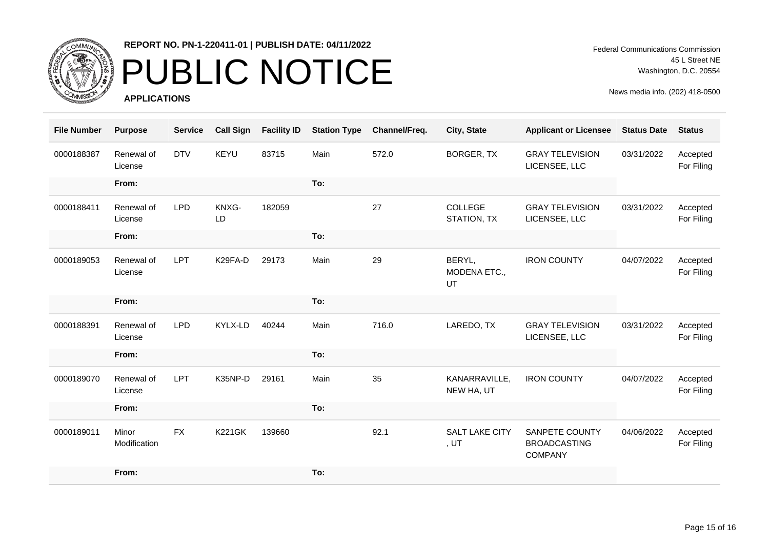

## PUBLIC NOTICE

**APPLICATIONS**

Federal Communications Commission 45 L Street NE Washington, D.C. 20554

| <b>File Number</b> | <b>Purpose</b>        | <b>Service</b> | <b>Call Sign</b> | <b>Facility ID</b> | <b>Station Type</b> | Channel/Freq. | City, State                   | <b>Applicant or Licensee</b>                                   | <b>Status Date</b> | <b>Status</b>          |
|--------------------|-----------------------|----------------|------------------|--------------------|---------------------|---------------|-------------------------------|----------------------------------------------------------------|--------------------|------------------------|
| 0000188387         | Renewal of<br>License | <b>DTV</b>     | KEYU             | 83715              | Main                | 572.0         | <b>BORGER, TX</b>             | <b>GRAY TELEVISION</b><br>LICENSEE, LLC                        | 03/31/2022         | Accepted<br>For Filing |
|                    | From:                 |                |                  |                    | To:                 |               |                               |                                                                |                    |                        |
| 0000188411         | Renewal of<br>License | <b>LPD</b>     | KNXG-<br>LD      | 182059             |                     | 27            | <b>COLLEGE</b><br>STATION, TX | <b>GRAY TELEVISION</b><br>LICENSEE, LLC                        | 03/31/2022         | Accepted<br>For Filing |
|                    | From:                 |                |                  |                    | To:                 |               |                               |                                                                |                    |                        |
| 0000189053         | Renewal of<br>License | LPT            | K29FA-D          | 29173              | Main                | 29            | BERYL,<br>MODENA ETC.,<br>UT  | <b>IRON COUNTY</b>                                             | 04/07/2022         | Accepted<br>For Filing |
|                    | From:                 |                |                  |                    | To:                 |               |                               |                                                                |                    |                        |
| 0000188391         | Renewal of<br>License | <b>LPD</b>     | KYLX-LD          | 40244              | Main                | 716.0         | LAREDO, TX                    | <b>GRAY TELEVISION</b><br>LICENSEE, LLC                        | 03/31/2022         | Accepted<br>For Filing |
|                    | From:                 |                |                  |                    | To:                 |               |                               |                                                                |                    |                        |
| 0000189070         | Renewal of<br>License | <b>LPT</b>     | K35NP-D          | 29161              | Main                | 35            | KANARRAVILLE,<br>NEW HA, UT   | <b>IRON COUNTY</b>                                             | 04/07/2022         | Accepted<br>For Filing |
|                    | From:                 |                |                  |                    | To:                 |               |                               |                                                                |                    |                        |
| 0000189011         | Minor<br>Modification | <b>FX</b>      | <b>K221GK</b>    | 139660             |                     | 92.1          | <b>SALT LAKE CITY</b><br>, UT | <b>SANPETE COUNTY</b><br><b>BROADCASTING</b><br><b>COMPANY</b> | 04/06/2022         | Accepted<br>For Filing |
|                    | From:                 |                |                  |                    | To:                 |               |                               |                                                                |                    |                        |